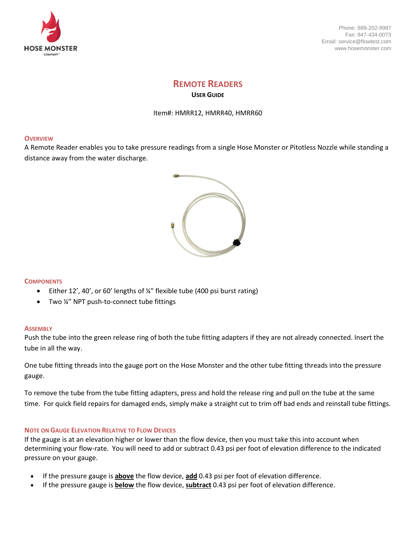

Phone: 888-202-9987 Fax: 847-434-0073 Email: service@flowtest.com www.hosemonster.com

# **REMOTE READERS USER GUIDE**

Item#: HMRR12, HMRR40, HMRR60

## **OVERVIEW**

A Remote Reader enables you to take pressure readings from a single Hose Monster or Pitotless Nozzle while standing a distance away from the water discharge.



#### **COMPONENTS**

- Either 12', 40', or 60' lengths of ¼" flexible tube (400 psi burst rating)
- Two ¼" NPT push-to-connect tube fittings

#### **ASSEMBLY**

Push the tube into the green release ring of both the tube fitting adapters if they are not already connected. Insert the tube in all the way.

One tube fitting threads into the gauge port on the Hose Monster and the other tube fitting threads into the pressure gauge.

To remove the tube from the tube fitting adapters, press and hold the release ring and pull on the tube at the same time. For quick field repairs for damaged ends, simply make a straight cut to trim off bad ends and reinstall tube fittings.

#### **NOTE ON GAUGE ELEVATION RELATIVE TO FLOW DEVICES**

If the gauge is at an elevation higher or lower than the flow device, then you must take this into account when determining your flow-rate. You will need to add or subtract 0.43 psi per foot of elevation difference to the indicated pressure on your gauge.

- If the pressure gauge is **above** the flow device, **add** 0.43 psi per foot of elevation difference.
- If the pressure gauge is **below** the flow device, **subtract** 0.43 psi per foot of elevation difference.